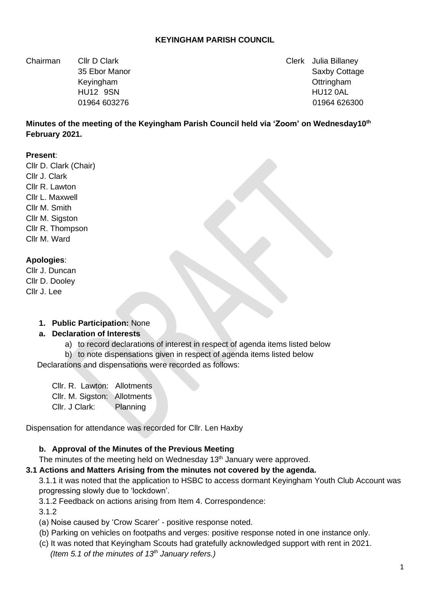### **KEYINGHAM PARISH COUNCIL**

Chairman Cllr D Clark Clerk Julia Billaney

35 Ebor Manor Saxby Cottage 35 Ebor Manor Saxby Cottage 35 Ebor Manor Saxby Cottage Keyingham Ottringham HU12 9SN HU12 0AL 01964 603276 01964 026300

## **Minutes of the meeting of the Keyingham Parish Council held via 'Zoom' on Wednesday10th February 2021.**

## **Present**:

Cllr D. Clark (Chair) Cllr J. Clark Cllr R. Lawton Cllr L. Maxwell Cllr M. Smith Cllr M. Sigston Cllr R. Thompson Cllr M. Ward

#### **Apologies**:

Cllr J. Duncan Cllr D. Dooley Cllr J. Lee

#### **1. Public Participation:** None

#### **a. Declaration of Interests**

a) to record declarations of interest in respect of agenda items listed below

b) to note dispensations given in respect of agenda items listed below

Declarations and dispensations were recorded as follows:

Cllr. R. Lawton: Allotments Cllr. M. Sigston: Allotments Cllr. J Clark: Planning

Dispensation for attendance was recorded for Cllr. Len Haxby

#### **b. Approval of the Minutes of the Previous Meeting**

The minutes of the meeting held on Wednesday 13<sup>th</sup> January were approved.

#### **3.1 Actions and Matters Arising from the minutes not covered by the agenda.**

3.1.1 it was noted that the application to HSBC to access dormant Keyingham Youth Club Account was progressing slowly due to 'lockdown'.

3.1.2 Feedback on actions arising from Item 4. Correspondence:

3.1.2

- (a) Noise caused by 'Crow Scarer' positive response noted.
- (b) Parking on vehicles on footpaths and verges: positive response noted in one instance only.
- (c) It was noted that Keyingham Scouts had gratefully acknowledged support with rent in 2021. *(Item 5.1 of the minutes of 13th January refers.)*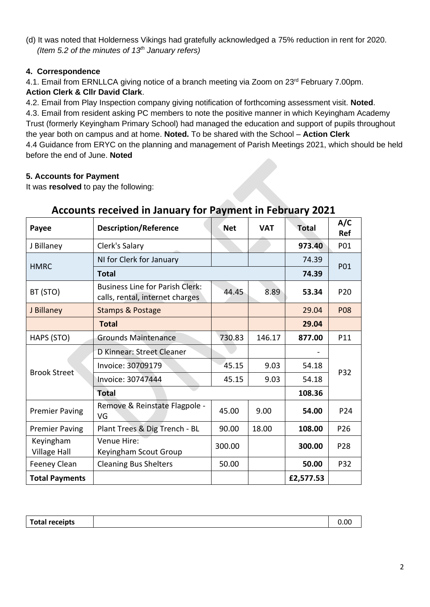(d) It was noted that Holderness Vikings had gratefully acknowledged a 75% reduction in rent for 2020.  *(Item 5.2 of the minutes of 13th January refers)*

# **4. Correspondence**

4.1. Email from ERNLLCA giving notice of a branch meeting via Zoom on 23<sup>rd</sup> February 7.00pm. **Action Clerk & Cllr David Clark**.

4.2. Email from Play Inspection company giving notification of forthcoming assessment visit. **Noted**. 4.3. Email from resident asking PC members to note the positive manner in which Keyingham Academy Trust (formerly Keyingham Primary School) had managed the education and support of pupils throughout the year both on campus and at home. **Noted.** To be shared with the School – **Action Clerk** 4.4 Guidance from ERYC on the planning and management of Parish Meetings 2021, which should be held before the end of June. **Noted**

# **5. Accounts for Payment**

It was **resolved** to pay the following:

| Payee                            | <b>Description/Reference</b>                                              | <b>Net</b> | <b>VAT</b> | <b>Total</b> | A/C<br>Ref |
|----------------------------------|---------------------------------------------------------------------------|------------|------------|--------------|------------|
| J Billaney                       | Clerk's Salary                                                            |            |            | 973.40       | P01        |
| <b>HMRC</b>                      | NI for Clerk for January                                                  |            |            | 74.39        | P01        |
|                                  | <b>Total</b>                                                              |            |            | 74.39        |            |
| BT (STO)                         | <b>Business Line for Parish Clerk:</b><br>calls, rental, internet charges | 44.45      | 8.89       | 53.34        | P20        |
| J Billaney                       | <b>Stamps &amp; Postage</b>                                               |            |            | 29.04        | <b>P08</b> |
|                                  | <b>Total</b>                                                              |            |            | 29.04        |            |
| HAPS (STO)                       | <b>Grounds Maintenance</b>                                                | 730.83     | 146.17     | 877.00       | P11        |
| <b>Brook Street</b>              | D Kinnear: Street Cleaner                                                 |            |            |              | P32        |
|                                  | Invoice: 30709179                                                         | 45.15      | 9.03       | 54.18        |            |
|                                  | Invoice: 30747444                                                         | 45.15      | 9.03       | 54.18        |            |
|                                  | <b>Total</b>                                                              |            |            | 108.36       |            |
| <b>Premier Paving</b>            | Remove & Reinstate Flagpole -<br>VG                                       | 45.00      | 9.00       | 54.00        | P24        |
| <b>Premier Paving</b>            | Plant Trees & Dig Trench - BL                                             | 90.00      | 18.00      | 108.00       | P26        |
| Keyingham<br><b>Village Hall</b> | Venue Hire:<br>Keyingham Scout Group                                      | 300.00     |            | 300.00       | P28        |
| Feeney Clean                     | <b>Cleaning Bus Shelters</b>                                              | 50.00      |            | 50.00        | P32        |
| <b>Total Payments</b>            |                                                                           |            |            | £2,577.53    |            |

# **Accounts received in January for Payment in February 2021**

| <b>Total receipts</b> |  | 0.00 |
|-----------------------|--|------|
|-----------------------|--|------|